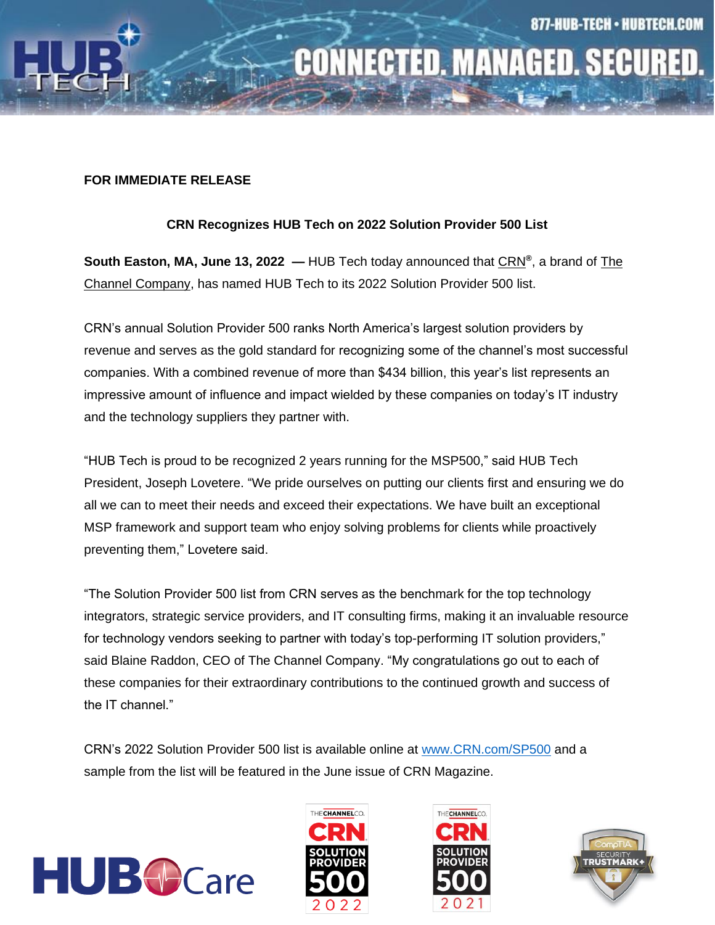

# **CONNECTED. MANAGED. SECURED.**

#### **FOR IMMEDIATE RELEASE**

### **CRN Recognizes HUB Tech on 2022 Solution Provider 500 List**

**South Easton, MA, June 13, 2022 —** HUB Tech today announced that [CRN](http://www.crn.com/)**®** , a brand of [The](http://www.thechannelco.com/)  [Channel Company,](http://www.thechannelco.com/) has named HUB Tech to its 2022 Solution Provider 500 list.

CRN's annual Solution Provider 500 ranks North America's largest solution providers by revenue and serves as the gold standard for recognizing some of the channel's most successful companies. With a combined revenue of more than \$434 billion, this year's list represents an impressive amount of influence and impact wielded by these companies on today's IT industry and the technology suppliers they partner with.

"HUB Tech is proud to be recognized 2 years running for the MSP500," said HUB Tech President, Joseph Lovetere. "We pride ourselves on putting our clients first and ensuring we do all we can to meet their needs and exceed their expectations. We have built an exceptional MSP framework and support team who enjoy solving problems for clients while proactively preventing them," Lovetere said.

"The Solution Provider 500 list from CRN serves as the benchmark for the top technology integrators, strategic service providers, and IT consulting firms, making it an invaluable resource for technology vendors seeking to partner with today's top-performing IT solution providers," said Blaine Raddon, CEO of The Channel Company. "My congratulations go out to each of these companies for their extraordinary contributions to the continued growth and success of the IT channel."

CRN's 2022 Solution Provider 500 list is available online at [www.CRN.com/SP500](http://www.crn.com/SP500) and a sample from the list will be featured in the June issue of CRN Magazine.